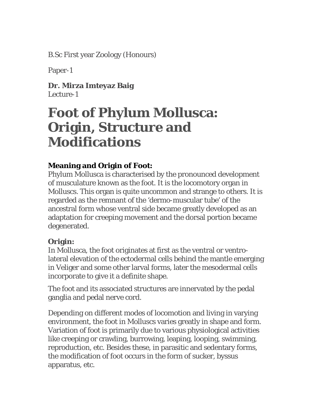B.Sc First year Zoology (Honours)

Paper-1

**Dr. Mirza Imteyaz Baig**  Lecture-1

## **Foot of Phylum Mollusca: Origin, Structure and Modifications**

## **Meaning and Origin of Foot:**

Phylum Mollusca is characterised by the pronounced development of musculature known as the foot. It is the locomotory organ in Molluscs. This organ is quite uncommon and strange to others. It is regarded as the remnant of the 'dermo-muscular tube' of the ancestral form whose ventral side became greatly developed as an adaptation for creeping movement and the dorsal portion became degenerated.

## **Origin:**

In Mollusca, the foot originates at first as the ventral or ventrolateral elevation of the ectodermal cells behind the mantle emerging in Veliger and some other larval forms, later the mesodermal cells incorporate to give it a definite shape.

The foot and its associated structures are innervated by the pedal ganglia and pedal nerve cord.

Depending on different modes of locomotion and living in varying environment, the foot in Molluscs varies greatly in shape and form. Variation of foot is primarily due to various physiological activities like creeping or crawling, burrowing, leaping, looping, swimming, reproduction, etc. Besides these, in parasitic and sedentary forms, the modification of foot occurs in the form of sucker, byssus apparatus, etc.